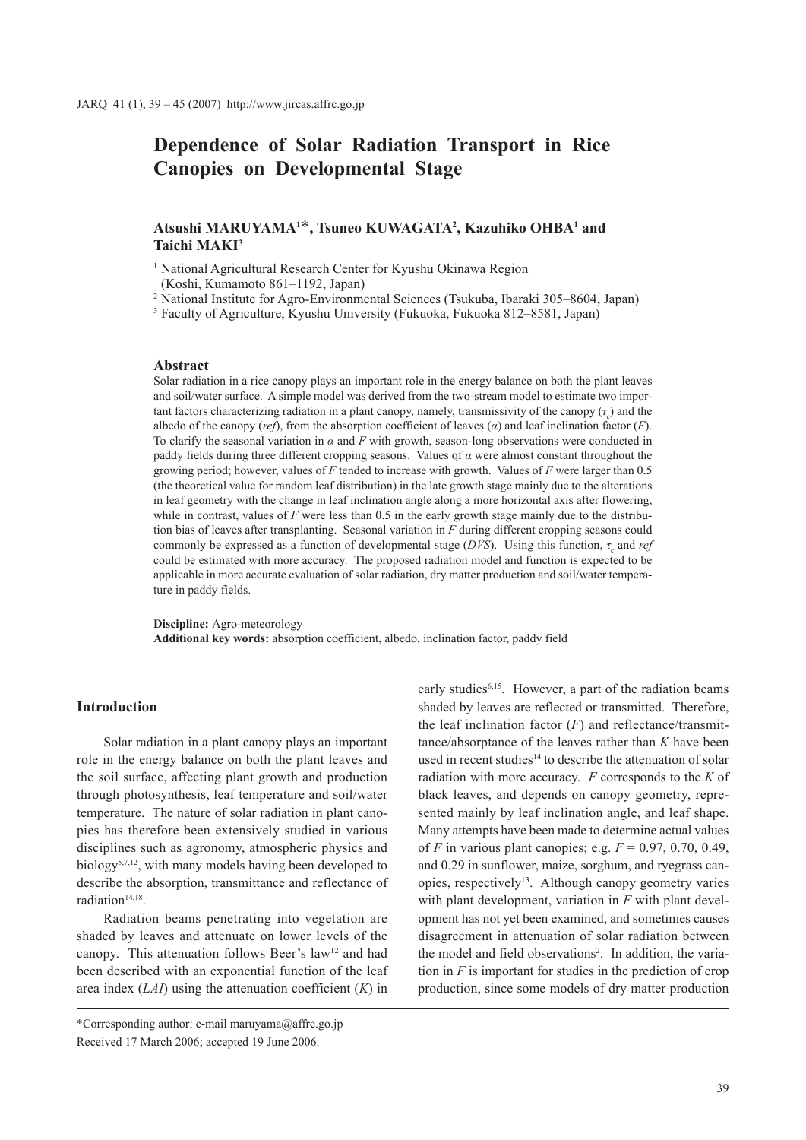# **Dependence of Solar Radiation Transport in Rice Canopies on Developmental Stage**

# **Atsushi MARUYAMA1** \***, Tsuneo KUWAGATA2 , Kazuhiko OHBA1 and Taichi MAKI3**

<sup>1</sup> National Agricultural Research Center for Kyushu Okinawa Region

(Koshi, Kumamoto 861–1192, Japan)

<sup>2</sup> National Institute for Agro-Environmental Sciences (Tsukuba, Ibaraki 305–8604, Japan)

<sup>3</sup> Faculty of Agriculture, Kyushu University (Fukuoka, Fukuoka 812–8581, Japan)

## **Abstract**

Solar radiation in a rice canopy plays an important role in the energy balance on both the plant leaves and soil/water surface. A simple model was derived from the two-stream model to estimate two important factors characterizing radiation in a plant canopy, namely, transmissivity of the canopy  $(\tau_c)$  and the albedo of the canopy (*ref*), from the absorption coefficient of leaves (*α*) and leaf inclination factor (*F*). To clarify the seasonal variation in *α* and *F* with growth, season-long observations were conducted in paddy fields during three different cropping seasons. Values of *α* were almost constant throughout the growing period; however, values of *F* tended to increase with growth. Values of *F* were larger than 0.5 (the theoretical value for random leaf distribution) in the late growth stage mainly due to the alterations in leaf geometry with the change in leaf inclination angle along a more horizontal axis after flowering, while in contrast, values of *F* were less than 0.5 in the early growth stage mainly due to the distribution bias of leaves after transplanting. Seasonal variation in *F* during different cropping seasons could commonly be expressed as a function of developmental stage (*DVS*). Using this function,  $\tau_c$  and *ref* could be estimated with more accuracy. The proposed radiation model and function is expected to be applicable in more accurate evaluation of solar radiation, dry matter production and soil/water temperature in paddy fields.

**Discipline:** Agro-meteorology **Additional key words:** absorption coefficient, albedo, inclination factor, paddy field

#### **Introduction**

Solar radiation in a plant canopy plays an important role in the energy balance on both the plant leaves and the soil surface, affecting plant growth and production through photosynthesis, leaf temperature and soil/water temperature. The nature of solar radiation in plant canopies has therefore been extensively studied in various disciplines such as agronomy, atmospheric physics and biology5,7,12, with many models having been developed to describe the absorption, transmittance and reflectance of radiation<sup>14,18</sup>.

Radiation beams penetrating into vegetation are shaded by leaves and attenuate on lower levels of the canopy. This attenuation follows Beer's law<sup>12</sup> and had been described with an exponential function of the leaf area index (*LAI*) using the attenuation coefficient (*K*) in

early studies<sup>6,15</sup>. However, a part of the radiation beams shaded by leaves are reflected or transmitted. Therefore, the leaf inclination factor  $(F)$  and reflectance/transmittance/absorptance of the leaves rather than *K* have been used in recent studies<sup>14</sup> to describe the attenuation of solar radiation with more accuracy. *F* corresponds to the *K* of black leaves, and depends on canopy geometry, represented mainly by leaf inclination angle, and leaf shape. Many attempts have been made to determine actual values of *F* in various plant canopies; e.g. *F* = 0.97, 0.70, 0.49, and 0.29 in sunflower, maize, sorghum, and ryegrass canopies, respectively13. Although canopy geometry varies with plant development, variation in *F* with plant development has not yet been examined, and sometimes causes disagreement in attenuation of solar radiation between the model and field observations<sup>2</sup>. In addition, the variation in  $F$  is important for studies in the prediction of crop production, since some models of dry matter production

<sup>\*</sup>Corresponding author: e-mail maruyama@affrc.go.jp Received 17 March 2006; accepted 19 June 2006.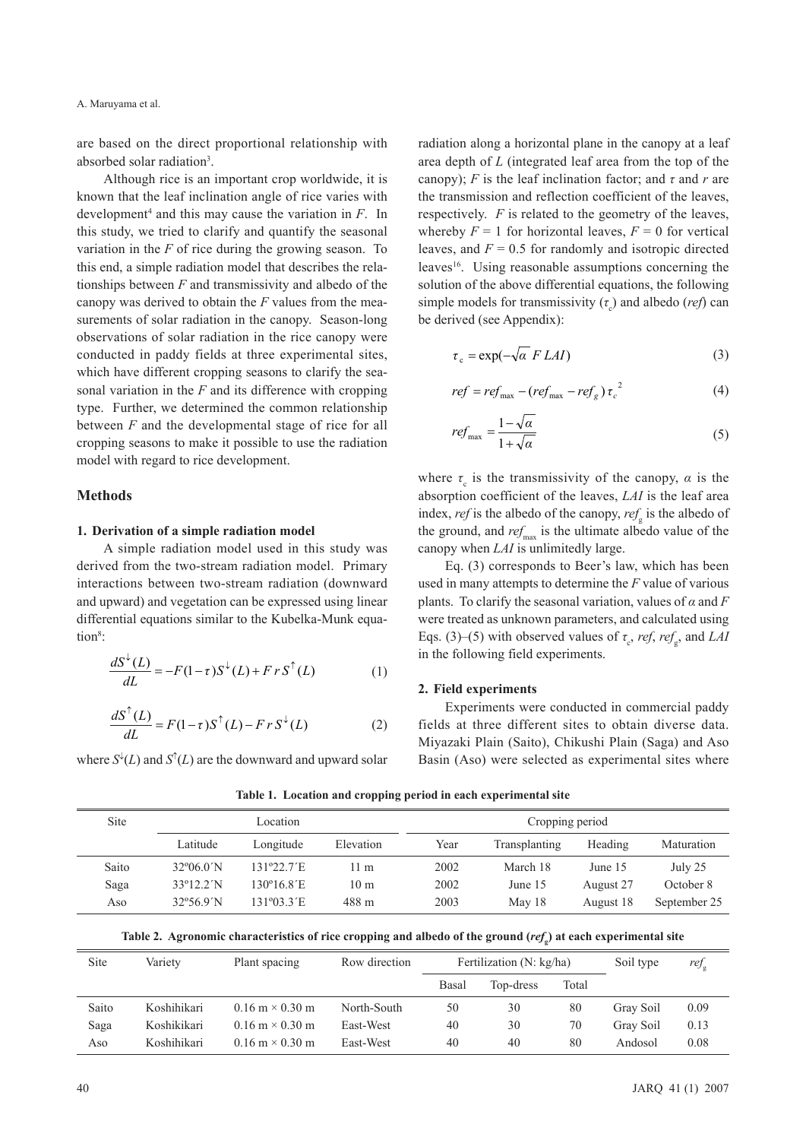are based on the direct proportional relationship with absorbed solar radiation<sup>3</sup>.

Although rice is an important crop worldwide, it is known that the leaf inclination angle of rice varies with development4 and this may cause the variation in *F*. In this study, we tried to clarify and quantify the seasonal variation in the *F* of rice during the growing season. To this end, a simple radiation model that describes the relationships between *F* and transmissivity and albedo of the canopy was derived to obtain the *F* values from the measurements of solar radiation in the canopy. Season-long observations of solar radiation in the rice canopy were conducted in paddy fields at three experimental sites, which have different cropping seasons to clarify the seasonal variation in the *F* and its difference with cropping type. Further, we determined the common relationship between *F* and the developmental stage of rice for all cropping seasons to make it possible to use the radiation model with regard to rice development.

# **Methods**

#### **1. Derivation of a simple radiation model**

A simple radiation model used in this study was derived from the two-stream radiation model. Primary interactions between two-stream radiation (downward and upward) and vegetation can be expressed using linear differential equations similar to the Kubelka-Munk equation<sup>8</sup>:

$$
\frac{dS^{\downarrow}(L)}{dL} = -F(1-\tau)S^{\downarrow}(L) + FrS^{\uparrow}(L) \tag{1}
$$

$$
\frac{dS^{\uparrow}(L)}{dL} = F(1-\tau)S^{\uparrow}(L) - FrS^{\downarrow}(L) \tag{2}
$$

where  $S^{\downarrow}(L)$  and  $S^{\uparrow}(L)$  are the downward and upward solar

radiation along a horizontal plane in the canopy at a leaf area depth of *L* (integrated leaf area from the top of the canopy); *F* is the leaf inclination factor; and  $\tau$  and  $r$  are the transmission and reflection coefficient of the leaves, respectively. *F* is related to the geometry of the leaves, whereby  $F = 1$  for horizontal leaves,  $F = 0$  for vertical leaves, and  $F = 0.5$  for randomly and isotropic directed leaves<sup>16</sup>. Using reasonable assumptions concerning the solution of the above differential equations, the following simple models for transmissivity  $(\tau_c)$  and albedo *(ref)* can be derived (see Appendix):

$$
\tau_c = \exp(-\sqrt{\alpha} F LAI) \tag{3}
$$

$$
ref = refmax - (refmax - refg) \tauc2
$$
 (4)

$$
ref_{\text{max}} = \frac{1 - \sqrt{\alpha}}{1 + \sqrt{\alpha}}\tag{5}
$$

where  $\tau_c$  is the transmissivity of the canopy,  $\alpha$  is the absorption coefficient of the leaves, *LAI* is the leaf area index, *ref* is the albedo of the canopy, *ref*<sub>g</sub> is the albedo of the ground, and  $ref_{\text{max}}$  is the ultimate albedo value of the canopy when *LAI* is unlimitedly large.

Eq. (3) corresponds to Beer's law, which has been used in many attempts to determine the *F* value of various plants. To clarify the seasonal variation, values of  $\alpha$  and  $F$ were treated as unknown parameters, and calculated using Eqs. (3)–(5) with observed values of  $\tau_c$ , *ref*, *ref<sub>g</sub>*, and *LAI* in the following field experiments.

## **2. Field experiments**

Experiments were conducted in commercial paddy fields at three different sites to obtain diverse data. Miyazaki Plain (Saito), Chikushi Plain (Saga) and Aso Basin (Aso) were selected as experimental sites where

| Site  |                            | Location   |                 |      | Cropping period |           |              |  |  |
|-------|----------------------------|------------|-----------------|------|-----------------|-----------|--------------|--|--|
|       | Latitude                   | Longitude  | Elevation       | Year | Transplanting   | Heading   | Maturation   |  |  |
| Saito | $32^{\circ}06.0^{\prime}N$ | 131°22.7'E | 11 m            | 2002 | March 18        | June 15   | July 25      |  |  |
| Saga  | $33^{\circ}12.2^{\prime}N$ | 130°16.8′E | 10 <sub>m</sub> | 2002 | June 15         | August 27 | October 8    |  |  |
| Aso   | $32^{\circ}56.9^{\prime}N$ | 131°03.3′E | 488 m           | 2003 | May 18          | August 18 | September 25 |  |  |

**Table 1. Location and cropping period in each experimental site**

**Table 2. Agronomic characteristics of rice cropping and albedo of the ground (***ref***<sup>g</sup> ) at each experimental site**

| Site  | Variety     | Plant spacing                          | Row direction | Fertilization $(N: kg/ha)$ |           |       | Soil type | $ref_{\rm g}$ |
|-------|-------------|----------------------------------------|---------------|----------------------------|-----------|-------|-----------|---------------|
|       |             |                                        |               | Basal                      | Top-dress | Total |           |               |
| Saito | Koshihikari | $0.16 \text{ m} \times 0.30 \text{ m}$ | North-South   | 50                         | 30        | 80    | Gray Soil | 0.09          |
| Saga  | Koshikikari | $0.16 \text{ m} \times 0.30 \text{ m}$ | East-West     | 40                         | 30        | 70    | Gray Soil | 0.13          |
| Aso   | Koshihikari | $0.16 \text{ m} \times 0.30 \text{ m}$ | East-West     | 40                         | 40        | 80    | Andosol   | 0.08          |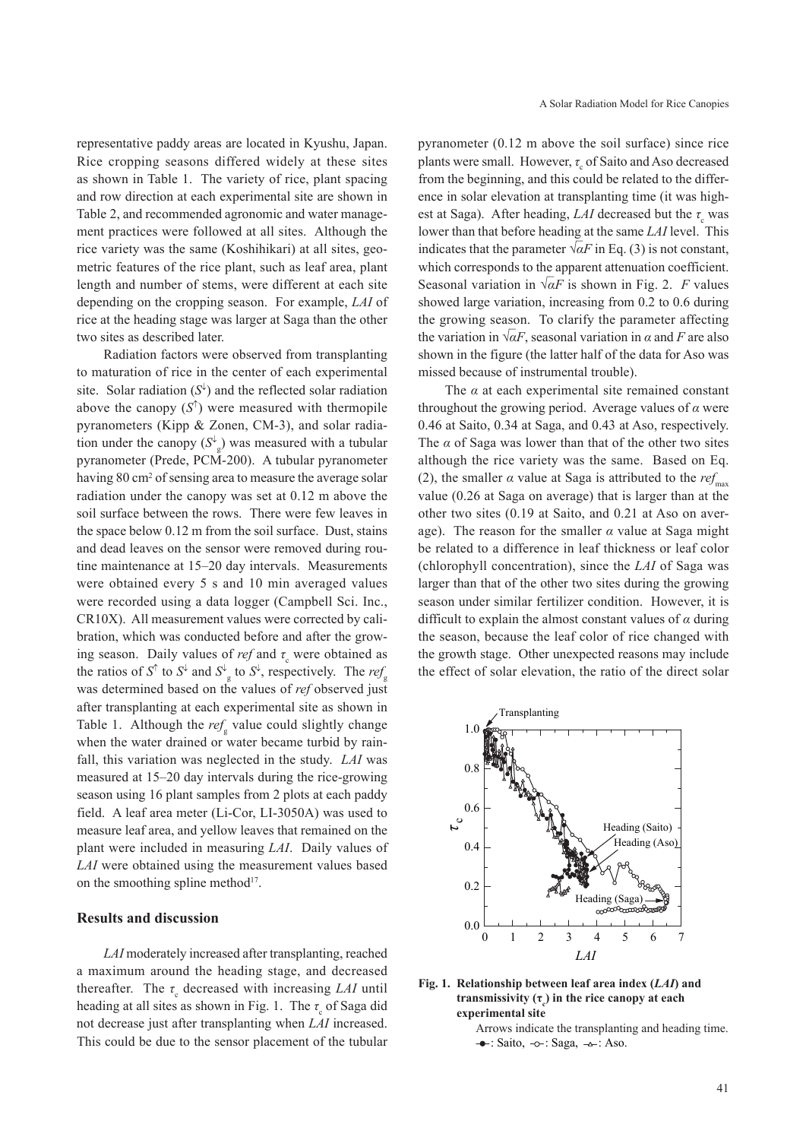representative paddy areas are located in Kyushu, Japan. Rice cropping seasons differed widely at these sites as shown in Table 1. The variety of rice, plant spacing and row direction at each experimental site are shown in Table 2, and recommended agronomic and water management practices were followed at all sites. Although the rice variety was the same (Koshihikari) at all sites, geometric features of the rice plant, such as leaf area, plant length and number of stems, were different at each site depending on the cropping season. For example, *LAI* of rice at the heading stage was larger at Saga than the other two sites as described later.

Radiation factors were observed from transplanting to maturation of rice in the center of each experimental site. Solar radiation  $(S^{\downarrow})$  and the reflected solar radiation above the canopy  $(S^{\uparrow})$  were measured with thermopile pyranometers (Kipp & Zonen, CM-3), and solar radiation under the canopy  $(S^{\downarrow}_{g})$  was measured with a tubular pyranometer (Prede, PCM-200). A tubular pyranometer having 80 cm<sup>2</sup> of sensing area to measure the average solar radiation under the canopy was set at 0.12 m above the soil surface between the rows. There were few leaves in the space below 0.12 m from the soil surface. Dust, stains and dead leaves on the sensor were removed during routine maintenance at 15–20 day intervals. Measurements were obtained every 5 s and 10 min averaged values were recorded using a data logger (Campbell Sci. Inc., CR10X). All measurement values were corrected by calibration, which was conducted before and after the growing season. Daily values of *ref* and  $\tau_c$  were obtained as the ratios of  $S^{\uparrow}$  to  $S^{\downarrow}$  and  $S^{\downarrow}$  to  $S^{\downarrow}$ , respectively. The *ref*<sub>g</sub> was determined based on the values of *ref* observed just after transplanting at each experimental site as shown in Table 1. Although the  $ref<sub>s</sub>$  value could slightly change when the water drained or water became turbid by rainfall, this variation was neglected in the study. *LAI* was measured at 15–20 day intervals during the rice-growing season using 16 plant samples from 2 plots at each paddy field. A leaf area meter (Li-Cor, LI-3050A) was used to measure leaf area, and yellow leaves that remained on the plant were included in measuring *LAI*. Daily values of *LAI* were obtained using the measurement values based on the smoothing spline method<sup>17</sup>.

## **Results and discussion**

*LAI* moderately increased after transplanting, reached a maximum around the heading stage, and decreased thereafter. The  $\tau_c$  decreased with increasing *LAI* until heading at all sites as shown in Fig. 1. The  $\tau_{\alpha}$  of Saga did not decrease just after transplanting when *LAI* increased. This could be due to the sensor placement of the tubular

pyranometer (0.12 m above the soil surface) since rice plants were small. However, *τ* of Saito and Aso decreased from the beginning, and this could be related to the difference in solar elevation at transplanting time (it was highest at Saga). After heading, *LAI* decreased but the  $\tau_c$  was lower than that before heading at the same *LAI* level. This indicates that the parameter  $\sqrt{\alpha F}$  in Eq. (3) is not constant, which corresponds to the apparent attenuation coefficient. Seasonal variation in √*αF* is shown in Fig. 2. *F* values showed large variation, increasing from 0.2 to 0.6 during the growing season. To clarify the parameter affecting the variation in  $\sqrt{\alpha}F$ , seasonal variation in  $\alpha$  and *F* are also shown in the figure (the latter half of the data for Aso was missed because of instrumental trouble).

The  $\alpha$  at each experimental site remained constant throughout the growing period. Average values of *α* were 0.46 at Saito, 0.34 at Saga, and 0.43 at Aso, respectively. The *α* of Saga was lower than that of the other two sites although the rice variety was the same. Based on Eq. (2), the smaller  $\alpha$  value at Saga is attributed to the *ref*<sub>max</sub> value (0.26 at Saga on average) that is larger than at the other two sites (0.19 at Saito, and 0.21 at Aso on average). The reason for the smaller *α* value at Saga might be related to a difference in leaf thickness or leaf color (chlorophyll concentration), since the *LAI* of Saga was larger than that of the other two sites during the growing season under similar fertilizer condition. However, it is difficult to explain the almost constant values of *α* during the season, because the leaf color of rice changed with the growth stage. Other unexpected reasons may include the effect of solar elevation, the ratio of the direct solar





Arrows indicate the transplanting and heading time.  $\rightarrow$ : Saito,  $\sim$ : Saga,  $\rightarrow$ : Aso.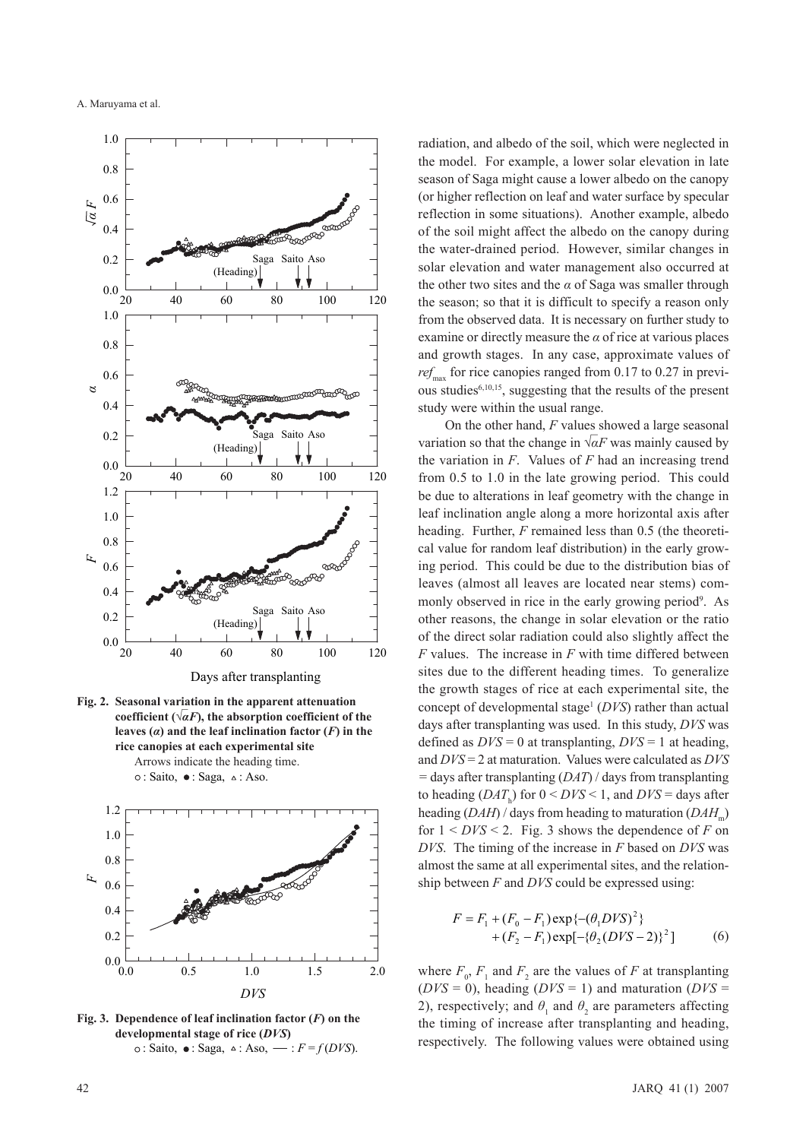





**Fig. 3. Dependence of leaf inclination factor (***F***) on the developmental stage of rice (***DVS***)**  $\circ$ : Saito,  $\bullet$ : Saga,  $\circ$ : Aso,  $\cdot$  *F* = *f*(*DVS*).

radiation, and albedo of the soil, which were neglected in the model. For example, a lower solar elevation in late season of Saga might cause a lower albedo on the canopy (or higher reflection on leaf and water surface by specular reflection in some situations). Another example, albedo of the soil might affect the albedo on the canopy during the water-drained period. However, similar changes in solar elevation and water management also occurred at the other two sites and the  $\alpha$  of Saga was smaller through the season; so that it is difficult to specify a reason only from the observed data. It is necessary on further study to examine or directly measure the *α* of rice at various places and growth stages. In any case, approximate values of *ref*<sub>max</sub> for rice canopies ranged from 0.17 to 0.27 in previous studies<sup>6,10,15</sup>, suggesting that the results of the present study were within the usual range.

On the other hand, *F* values showed a large seasonal variation so that the change in  $\sqrt{\alpha}F$  was mainly caused by the variation in *F*. Values of *F* had an increasing trend from 0.5 to 1.0 in the late growing period. This could be due to alterations in leaf geometry with the change in leaf inclination angle along a more horizontal axis after heading. Further, *F* remained less than 0.5 (the theoretical value for random leaf distribution) in the early growing period. This could be due to the distribution bias of leaves (almost all leaves are located near stems) commonly observed in rice in the early growing period<sup>9</sup>. As other reasons, the change in solar elevation or the ratio of the direct solar radiation could also slightly affect the *F* values. The increase in *F* with time differed between sites due to the different heading times. To generalize the growth stages of rice at each experimental site, the concept of developmental stage<sup>1</sup> (*DVS*) rather than actual days after transplanting was used. In this study, *DVS* was defined as  $DVS = 0$  at transplanting,  $DVS = 1$  at heading, and *DVS* = 2 at maturation. Values were calculated as *DVS =* days after transplanting (*DAT*) / days from transplanting to heading  $(DAT<sub>h</sub>)$  for  $0 < DVS < 1$ , and  $DVS =$  days after heading (*DAH*) / days from heading to maturation (*DAH*) for  $1 < DVS < 2$ . Fig. 3 shows the dependence of *F* on *DVS*. The timing of the increase in *F* based on *DVS* was almost the same at all experimental sites, and the relationship between *F* and *DVS* could be expressed using:

$$
F = F_1 + (F_0 - F_1) \exp\{- (\theta_1 DVS)^2\} + (F_2 - F_1) \exp[-\{\theta_2 (DVS - 2)\}^2]
$$
 (6)

where  $F_0$ ,  $F_1$  and  $F_2$  are the values of *F* at transplanting  $(DVS = 0)$ , heading  $(DVS = 1)$  and maturation  $(DVS = 1)$ 2), respectively; and  $\theta$ <sub>1</sub> and  $\theta$ <sub>2</sub> are parameters affecting the timing of increase after transplanting and heading, respectively. The following values were obtained using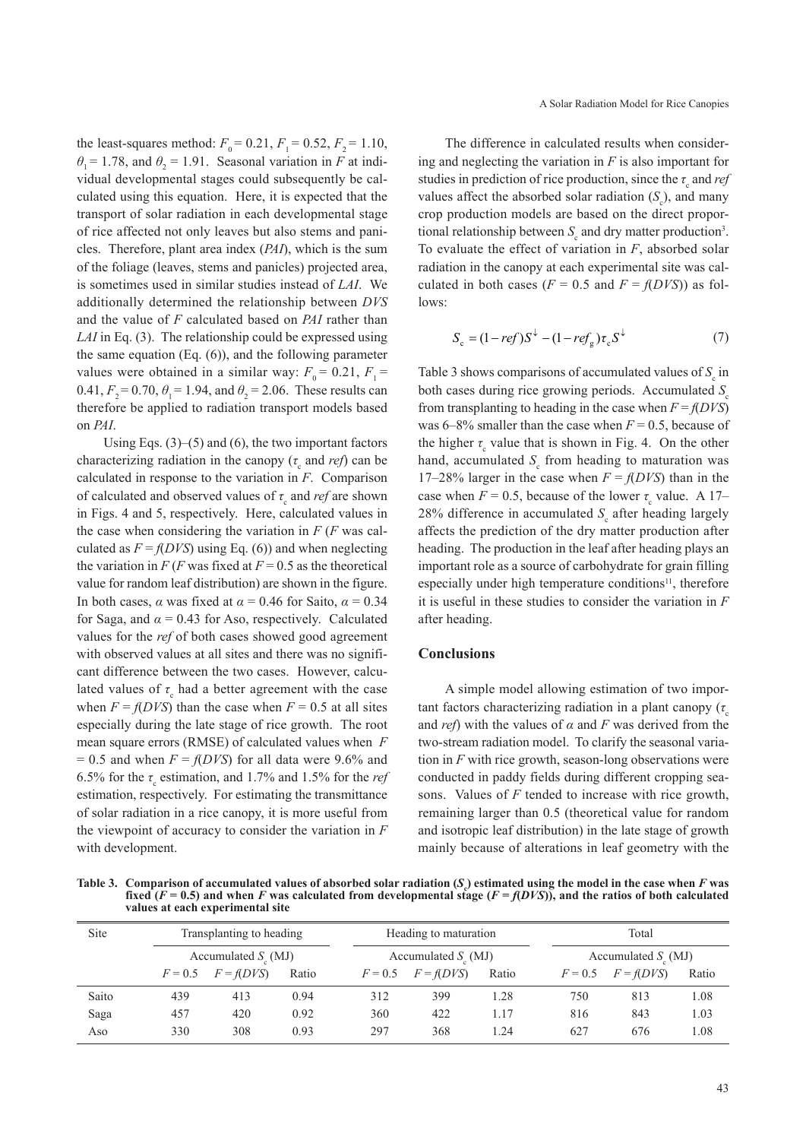the least-squares method:  $F_0 = 0.21, F_1 = 0.52, F_2 = 1.10$ ,  $\theta_1 = 1.78$ , and  $\theta_2 = 1.91$ . Seasonal variation in *F* at individual developmental stages could subsequently be calculated using this equation. Here, it is expected that the transport of solar radiation in each developmental stage of rice affected not only leaves but also stems and panicles. Therefore, plant area index (*PAI*), which is the sum of the foliage (leaves, stems and panicles) projected area, is sometimes used in similar studies instead of *LAI*. We additionally determined the relationship between *DVS* and the value of *F* calculated based on *PAI* rather than *LAI* in Eq. (3). The relationship could be expressed using the same equation (Eq. (6)), and the following parameter values were obtained in a similar way:  $F_0 = 0.21, F_1 =$ 0.41,  $F_2 = 0.70$ ,  $\theta_1 = 1.94$ , and  $\theta_2 = 2.06$ . These results can therefore be applied to radiation transport models based on *PAI*.

Using Eqs. (3)–(5) and (6), the two important factors characterizing radiation in the canopy  $(\tau$  and *ref*) can be calculated in response to the variation in *F*. Comparison of calculated and observed values of *τ* and *ref* are shown in Figs. 4 and 5, respectively. Here, calculated values in the case when considering the variation in  $F$  ( $F$  was calculated as  $F = f(DVS)$  using Eq. (6)) and when neglecting the variation in  $F$  (*F* was fixed at  $F = 0.5$  as the theoretical value for random leaf distribution) are shown in the figure. In both cases,  $\alpha$  was fixed at  $\alpha$  = 0.46 for Saito,  $\alpha$  = 0.34 for Saga, and  $\alpha = 0.43$  for Aso, respectively. Calculated values for the *ref* of both cases showed good agreement with observed values at all sites and there was no significant difference between the two cases. However, calculated values of  $\tau$  had a better agreement with the case when  $F = f(DVS)$  than the case when  $F = 0.5$  at all sites especially during the late stage of rice growth. The root mean square errors (RMSE) of calculated values when *F*   $= 0.5$  and when  $F = f(DVS)$  for all data were 9.6% and 6.5% for the  $\tau_{\rm s}$  estimation, and 1.7% and 1.5% for the *ref* estimation, respectively. For estimating the transmittance of solar radiation in a rice canopy, it is more useful from the viewpoint of accuracy to consider the variation in *F* with development.

The difference in calculated results when considering and neglecting the variation in *F* is also important for studies in prediction of rice production, since the  $\tau_{\alpha}$  and *ref* values affect the absorbed solar radiation  $(S_c)$ , and many crop production models are based on the direct proportional relationship between  $S<sub>c</sub>$  and dry matter production<sup>3</sup>. To evaluate the effect of variation in *F*, absorbed solar radiation in the canopy at each experimental site was calculated in both cases ( $F = 0.5$  and  $F = f(DVS)$ ) as follows:

$$
S_c = (1 - ref)S^{\downarrow} - (1 - ref_{\rm g})\tau_c S^{\downarrow}
$$
 (7)

Table 3 shows comparisons of accumulated values of *S* in both cases during rice growing periods. Accumulated *S*<sub>c</sub> from transplanting to heading in the case when  $F = f(DVS)$ was  $6-8\%$  smaller than the case when  $F = 0.5$ , because of the higher  $\tau_{\alpha}$  value that is shown in Fig. 4. On the other hand, accumulated  $S_c$  from heading to maturation was 17–28% larger in the case when  $F = f(DVS)$  than in the case when  $F = 0.5$ , because of the lower  $\tau_{\rm s}$  value. A 17– 28% difference in accumulated  $S<sub>c</sub>$  after heading largely affects the prediction of the dry matter production after heading. The production in the leaf after heading plays an important role as a source of carbohydrate for grain filling especially under high temperature conditions<sup>11</sup>, therefore it is useful in these studies to consider the variation in *F* after heading.

#### **Conclusions**

A simple model allowing estimation of two important factors characterizing radiation in a plant canopy  $(\tau)$ and *ref*) with the values of *α* and *F* was derived from the two-stream radiation model. To clarify the seasonal variation in *F* with rice growth, season-long observations were conducted in paddy fields during different cropping seasons. Values of *F* tended to increase with rice growth, remaining larger than 0.5 (theoretical value for random and isotropic leaf distribution) in the late stage of growth mainly because of alterations in leaf geometry with the

Table 3. Comparison of accumulated values of absorbed solar radiation  $(S_e)$  estimated using the model in the case when  $F$  was **fixed**  $(F = 0.5)$  and when *F* was calculated from developmental stage  $(F = f(DVS))$ , and the ratios of both calculated **values at each experimental site**

| Site  |           | Transplanting to heading     |       |           | Heading to maturation        |       |           | Total                         |       |  |
|-------|-----------|------------------------------|-------|-----------|------------------------------|-------|-----------|-------------------------------|-------|--|
|       |           | Accumulated $S_{\rm c}$ (MJ) |       |           | Accumulated $S_{\rm c}$ (MJ) |       |           | Accumulated $S_{\alpha}$ (MJ) |       |  |
|       | $F = 0.5$ | $F = f(DVS)$                 | Ratio | $F = 0.5$ | $F = f(DVS)$                 | Ratio | $F = 0.5$ | $F = f(DVS)$                  | Ratio |  |
| Saito | 439       | 413                          | 0.94  | 312       | 399                          | 1.28  | 750       | 813                           | 1.08  |  |
| Saga  | 457       | 420                          | 0.92  | 360       | 422                          | 1.17  | 816       | 843                           | 1.03  |  |
| Aso   | 330       | 308                          | 0.93  | 297       | 368                          | 1.24  | 627       | 676                           | 1.08  |  |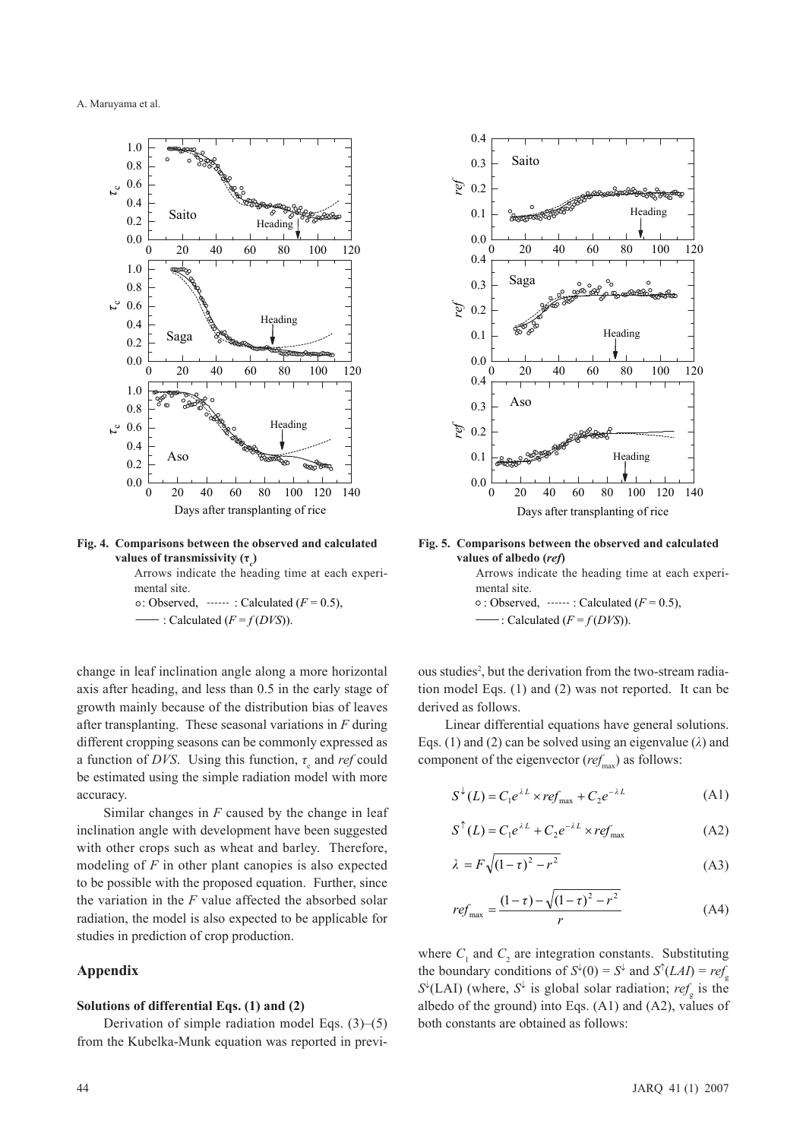

**Fig. 4. Comparisons between the observed and calculated values of transmissivity (τ<sub>ς</sub>)** 

Arrows indicate the heading time at each experimental site.  $\circ$ : Observed,  $\cdot \cdot \cdot \cdot$  : Calculated ( $F = 0.5$ ),

 $-$ : Calculated ( $F = f(DVS)$ ).

change in leaf inclination angle along a more horizontal axis after heading, and less than 0.5 in the early stage of growth mainly because of the distribution bias of leaves after transplanting. These seasonal variations in *F* during different cropping seasons can be commonly expressed as a function of *DVS*. Using this function,  $\tau_a$  and *ref* could be estimated using the simple radiation model with more accuracy.

Similar changes in *F* caused by the change in leaf inclination angle with development have been suggested with other crops such as wheat and barley. Therefore, modeling of *F* in other plant canopies is also expected to be possible with the proposed equation. Further, since the variation in the *F* value affected the absorbed solar radiation, the model is also expected to be applicable for studies in prediction of crop production.

#### **Appendix**

#### **Solutions of differential Eqs. (1) and (2)**

Derivation of simple radiation model Eqs. (3)–(5) from the Kubelka-Munk equation was reported in previ-



**Fig. 5. Comparisons between the observed and calculated values of albedo (***ref***)**

Arrows indicate the heading time at each experimental site.  $\circ$ : Observed,  $\cdot \cdot \cdot \cdot$  : Calculated ( $F = 0.5$ ),

 $\vdash$ : Calculated (*F* = *f* (*DVS*)).

ous studies<sup>2</sup>, but the derivation from the two-stream radiation model Eqs. (1) and (2) was not reported. It can be derived as follows.

Linear differential equations have general solutions. Eqs. (1) and (2) can be solved using an eigenvalue (*λ*) and component of the eigenvector ( $ref_{\text{max}}$ ) as follows:

$$
S^{\downarrow}(L) = C_1 e^{\lambda L} \times ref_{\text{max}} + C_2 e^{-\lambda L}
$$
 (A1)

$$
S^{\uparrow}(L) = C_1 e^{\lambda L} + C_2 e^{-\lambda L} \times ref_{\text{max}}
$$
 (A2)

$$
\lambda = F\sqrt{(1-\tau)^2 - r^2} \tag{A3}
$$

$$
ref_{\text{max}} = \frac{(1-\tau) - \sqrt{(1-\tau)^2 - r^2}}{r}
$$
 (A4)

where  $C_1$  and  $C_2$  are integration constants. Substituting the boundary conditions of  $S^{\downarrow}(0) = S^{\downarrow}$  and  $S^{\uparrow}(LAI) = ref_{\alpha}$  $S^{\downarrow}$ (LAI) (where,  $S^{\downarrow}$  is global solar radiation; *ref<sub>g</sub>* is the albedo of the ground) into Eqs. (A1) and (A2), values of both constants are obtained as follows: